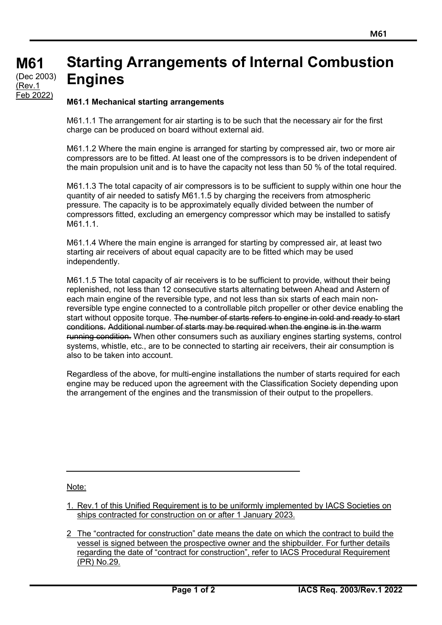## **M61 M61 (cont)** (Dec 2003) **Starting Arrangements of Internal Combustion Engines** (Rev.1

## **M61.1 Mechanical starting arrangements**

Feb 2022)

M61.1.1 The arrangement for air starting is to be such that the necessary air for the first charge can be produced on board without external aid.

M61.1.2 Where the main engine is arranged for starting by compressed air, two or more air compressors are to be fitted. At least one of the compressors is to be driven independent of the main propulsion unit and is to have the capacity not less than 50 % of the total required.

M61.1.3 The total capacity of air compressors is to be sufficient to supply within one hour the quantity of air needed to satisfy M61.1.5 by charging the receivers from atmospheric pressure. The capacity is to be approximately equally divided between the number of compressors fitted, excluding an emergency compressor which may be installed to satisfy M61.1.1.

M61.1.4 Where the main engine is arranged for starting by compressed air, at least two starting air receivers of about equal capacity are to be fitted which may be used independently.

M61.1.5 The total capacity of air receivers is to be sufficient to provide, without their being replenished, not less than 12 consecutive starts alternating between Ahead and Astern of each main engine of the reversible type, and not less than six starts of each main nonreversible type engine connected to a controllable pitch propeller or other device enabling the start without opposite torque. The number of starts refers to engine in cold and ready to start conditions. Additional number of starts may be required when the engine is in the warm running condition. When other consumers such as auxiliary engines starting systems, control systems, whistle, etc., are to be connected to starting air receivers, their air consumption is also to be taken into account.

Regardless of the above, for multi-engine installations the number of starts required for each engine may be reduced upon the agreement with the Classification Society depending upon the arrangement of the engines and the transmission of their output to the propellers.

Note:

- 1. Rev.1 of this Unified Requirement is to be uniformly implemented by IACS Societies on ships contracted for construction on or after 1 January 2023.
- 2 The "contracted for construction" date means the date on which the contract to build the vessel is signed between the prospective owner and the shipbuilder. For further details regarding the date of "contract for construction", refer to IACS Procedural Requirement (PR) No.29.